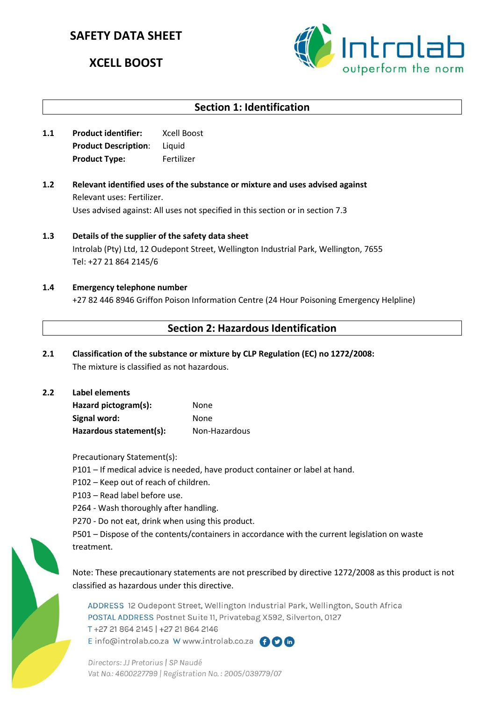# **SAFETY DATA SHEET**

# **XCELL BOOST**



# **Section 1: Identification**

- **1.1 Product identifier:** Xcell Boost **Product Description**: Liquid **Product Type:** Fertilizer
- **1.2 Relevant identified uses of the substance or mixture and uses advised against** Relevant uses: Fertilizer. Uses advised against: All uses not specified in this section or in section 7.3
- **1.3 Details of the supplier of the safety data sheet** Introlab (Pty) Ltd, 12 Oudepont Street, Wellington Industrial Park, Wellington, 7655 Tel: +27 21 864 2145/6
- **1.4 Emergency telephone number** +27 82 446 8946 Griffon Poison Information Centre (24 Hour Poisoning Emergency Helpline)

# **Section 2: Hazardous Identification**

- **2.1 Classification of the substance or mixture by CLP Regulation (EC) no 1272/2008:** The mixture is classified as not hazardous.
- **2.2 Label elements Hazard pictogram(s):** None Signal word: None **Hazardous statement(s):** Non-Hazardous

Precautionary Statement(s):

- P101 If medical advice is needed, have product container or label at hand.
- P102 Keep out of reach of children.
- P103 Read label before use.
- P264 Wash thoroughly after handling.
- P270 Do not eat, drink when using this product.

P501 – Dispose of the contents/containers in accordance with the current legislation on waste treatment.

Note: These precautionary statements are not prescribed by directive 1272/2008 as this product is not classified as hazardous under this directive.

ADDRESS 12 Oudepont Street, Wellington Industrial Park, Wellington, South Africa POSTAL ADDRESS Postnet Suite 11, Privatebag X592, Silverton, 0127 T+27 21 864 2145 | +27 21 864 2146 E info@introlab.co.za W www.introlab.co.za AOM

Directors: JJ Pretorius | SP Naudé Vat No.: 4600227799 | Registration No.: 2005/039779/07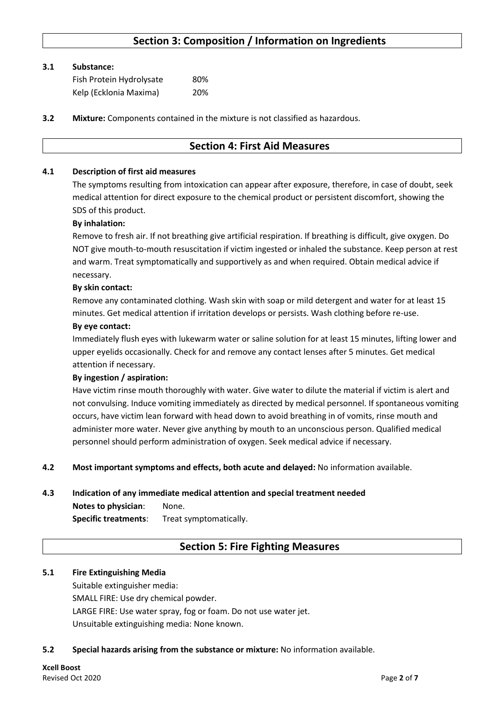# **Section 3: Composition / Information on Ingredients**

#### **3.1 Substance:**

| Fish Protein Hydrolysate | 80% |
|--------------------------|-----|
| Kelp (Ecklonia Maxima)   | 20% |

**3.2 Mixture:** Components contained in the mixture is not classified as hazardous.

### **Section 4: First Aid Measures**

#### **4.1 Description of first aid measures**

The symptoms resulting from intoxication can appear after exposure, therefore, in case of doubt, seek medical attention for direct exposure to the chemical product or persistent discomfort, showing the SDS of this product.

#### **By inhalation:**

Remove to fresh air. If not breathing give artificial respiration. If breathing is difficult, give oxygen. Do NOT give mouth-to-mouth resuscitation if victim ingested or inhaled the substance. Keep person at rest and warm. Treat symptomatically and supportively as and when required. Obtain medical advice if necessary.

#### **By skin contact:**

Remove any contaminated clothing. Wash skin with soap or mild detergent and water for at least 15 minutes. Get medical attention if irritation develops or persists. Wash clothing before re-use.

#### **By eye contact:**

Immediately flush eyes with lukewarm water or saline solution for at least 15 minutes, lifting lower and upper eyelids occasionally. Check for and remove any contact lenses after 5 minutes. Get medical attention if necessary.

#### **By ingestion / aspiration:**

Have victim rinse mouth thoroughly with water. Give water to dilute the material if victim is alert and not convulsing. Induce vomiting immediately as directed by medical personnel. If spontaneous vomiting occurs, have victim lean forward with head down to avoid breathing in of vomits, rinse mouth and administer more water. Never give anything by mouth to an unconscious person. Qualified medical personnel should perform administration of oxygen. Seek medical advice if necessary.

#### **4.2 Most important symptoms and effects, both acute and delayed:** No information available.

#### **4.3 Indication of any immediate medical attention and special treatment needed**

**Notes to physician**: None. **Specific treatments**: Treat symptomatically.

### **Section 5: Fire Fighting Measures**

#### **5.1 Fire Extinguishing Media**

Suitable extinguisher media: SMALL FIRE: Use dry chemical powder. LARGE FIRE: Use water spray, fog or foam. Do not use water jet. Unsuitable extinguishing media: None known.

#### **5.2 Special hazards arising from the substance or mixture:** No information available.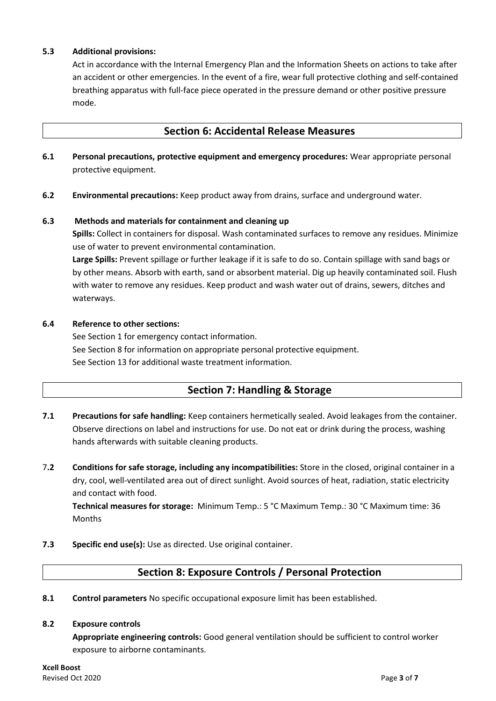#### **5.3 Additional provisions:**

Act in accordance with the Internal Emergency Plan and the Information Sheets on actions to take after an accident or other emergencies. In the event of a fire, wear full protective clothing and self-contained breathing apparatus with full-face piece operated in the pressure demand or other positive pressure mode.

### **Section 6: Accidental Release Measures**

- **6.1 Personal precautions, protective equipment and emergency procedures:** Wear appropriate personal protective equipment.
- **6.2 Environmental precautions:** Keep product away from drains, surface and underground water.

#### **6.3 Methods and materials for containment and cleaning up**

**Spills:** Collect in containers for disposal. Wash contaminated surfaces to remove any residues. Minimize use of water to prevent environmental contamination.

**Large Spills:** Prevent spillage or further leakage if it is safe to do so. Contain spillage with sand bags or by other means. Absorb with earth, sand or absorbent material. Dig up heavily contaminated soil. Flush with water to remove any residues. Keep product and wash water out of drains, sewers, ditches and waterways.

#### **6.4 Reference to other sections:**

See Section 1 for emergency contact information. See Section 8 for information on appropriate personal protective equipment. See Section 13 for additional waste treatment information.

# **Section 7: Handling & Storage**

- **7.1 Precautions for safe handling:** Keep containers hermetically sealed. Avoid leakages from the container. Observe directions on label and instructions for use. Do not eat or drink during the process, washing hands afterwards with suitable cleaning products.
- 7**.2 Conditions for safe storage, including any incompatibilities:** Store in the closed, original container in a dry, cool, well-ventilated area out of direct sunlight. Avoid sources of heat, radiation, static electricity and contact with food.

**Technical measures for storage:** Minimum Temp.: 5 °C Maximum Temp.: 30 °C Maximum time: 36 Months

**7.3 Specific end use(s):** Use as directed. Use original container.

# **Section 8: Exposure Controls / Personal Protection**

**8.1 Control parameters** No specific occupational exposure limit has been established.

#### **8.2 Exposure controls**

**Appropriate engineering controls:** Good general ventilation should be sufficient to control worker exposure to airborne contaminants.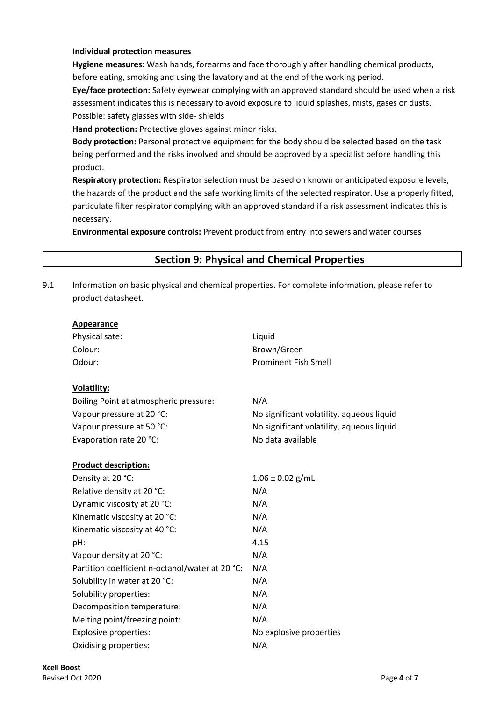#### **Individual protection measures**

**Hygiene measures:** Wash hands, forearms and face thoroughly after handling chemical products, before eating, smoking and using the lavatory and at the end of the working period.

**Eye/face protection:** Safety eyewear complying with an approved standard should be used when a risk assessment indicates this is necessary to avoid exposure to liquid splashes, mists, gases or dusts. Possible: safety glasses with side- shields

**Hand protection:** Protective gloves against minor risks.

**Body protection:** Personal protective equipment for the body should be selected based on the task being performed and the risks involved and should be approved by a specialist before handling this product.

**Respiratory protection:** Respirator selection must be based on known or anticipated exposure levels, the hazards of the product and the safe working limits of the selected respirator. Use a properly fitted, particulate filter respirator complying with an approved standard if a risk assessment indicates this is necessary.

**Environmental exposure controls:** Prevent product from entry into sewers and water courses

# **Section 9: Physical and Chemical Properties**

9.1 Information on basic physical and chemical properties. For complete information, please refer to product datasheet.

| <b>Appearance</b>                               |                                           |
|-------------------------------------------------|-------------------------------------------|
| Physical sate:                                  | Liquid                                    |
| Colour:                                         | Brown/Green                               |
| Odour:                                          | <b>Prominent Fish Smell</b>               |
|                                                 |                                           |
| <b>Volatility:</b>                              |                                           |
| Boiling Point at atmospheric pressure:          | N/A                                       |
| Vapour pressure at 20 °C:                       | No significant volatility, aqueous liquid |
| Vapour pressure at 50 °C:                       | No significant volatility, aqueous liquid |
| Evaporation rate 20 °C:                         | No data available                         |
|                                                 |                                           |
| <b>Product description:</b>                     |                                           |
| Density at 20 °C:                               | $1.06 \pm 0.02$ g/mL                      |
| Relative density at 20 °C:                      | N/A                                       |
| Dynamic viscosity at 20 °C:                     | N/A                                       |
| Kinematic viscosity at 20 °C:                   | N/A                                       |
| Kinematic viscosity at 40 °C:                   | N/A                                       |
| pH:                                             | 4.15                                      |
| Vapour density at 20 °C:                        | N/A                                       |
| Partition coefficient n-octanol/water at 20 °C: | N/A                                       |
| Solubility in water at 20 °C:                   | N/A                                       |
| Solubility properties:                          | N/A                                       |
| Decomposition temperature:                      | N/A                                       |
| Melting point/freezing point:                   | N/A                                       |
| <b>Explosive properties:</b>                    | No explosive properties                   |
| Oxidising properties:                           | N/A                                       |
|                                                 |                                           |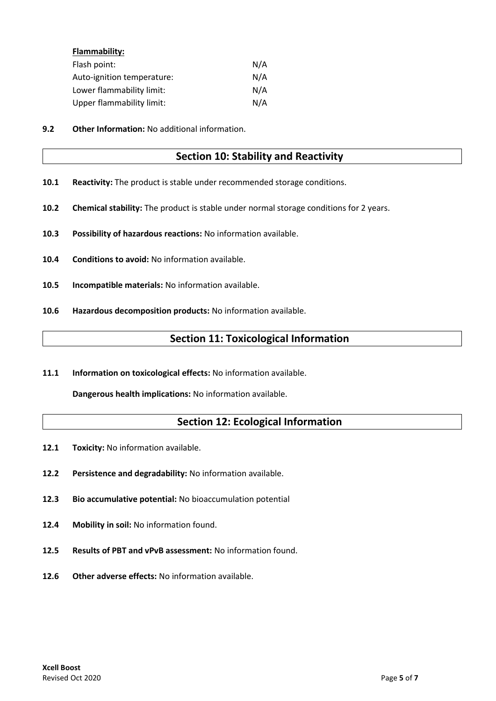| Flammability:              |     |
|----------------------------|-----|
| Flash point:               | N/A |
| Auto-ignition temperature: | N/A |
| Lower flammability limit:  | N/A |
| Upper flammability limit:  | N/A |

**9.2 Other Information:** No additional information.

### **Section 10: Stability and Reactivity**

- **10.1 Reactivity:** The product is stable under recommended storage conditions.
- **10.2 Chemical stability:** The product is stable under normal storage conditions for 2 years.
- **10.3 Possibility of hazardous reactions:** No information available.
- **10.4 Conditions to avoid:** No information available.
- **10.5 Incompatible materials:** No information available.
- **10.6 Hazardous decomposition products:** No information available.

### **Section 11: Toxicological Information**

**11.1 Information on toxicological effects:** No information available.

**Dangerous health implications:** No information available.

# **Section 12: Ecological Information**

- 12.1 Toxicity: No information available.
- **12.2 Persistence and degradability:** No information available.
- **12.3 Bio accumulative potential:** No bioaccumulation potential
- **12.4 Mobility in soil:** No information found.
- **12.5 Results of PBT and vPvB assessment:** No information found.
- **12.6 Other adverse effects:** No information available.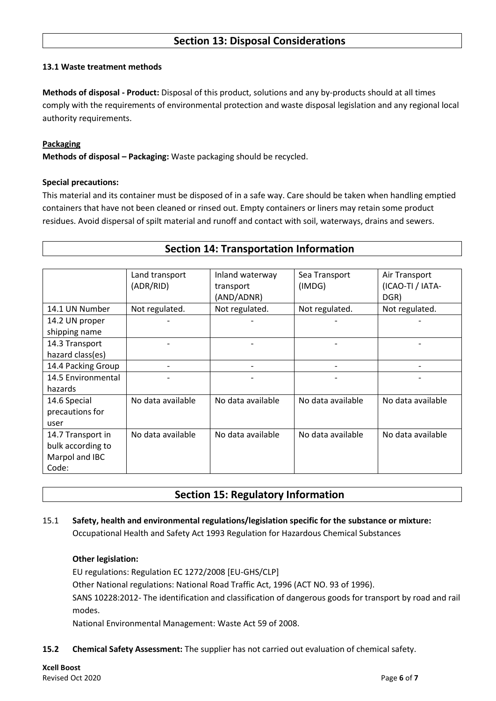### **Section 13: Disposal Considerations**

#### **13.1 Waste treatment methods**

**Methods of disposal - Product:** Disposal of this product, solutions and any by-products should at all times comply with the requirements of environmental protection and waste disposal legislation and any regional local authority requirements.

#### **Packaging**

**Methods of disposal – Packaging:** Waste packaging should be recycled.

#### **Special precautions:**

This material and its container must be disposed of in a safe way. Care should be taken when handling emptied containers that have not been cleaned or rinsed out. Empty containers or liners may retain some product residues. Avoid dispersal of spilt material and runoff and contact with soil, waterways, drains and sewers.

| <b>Section 14: Transportation Information</b> |  |  |  |  |  |  |
|-----------------------------------------------|--|--|--|--|--|--|
|                                               |  |  |  |  |  |  |
|                                               |  |  |  |  |  |  |

|                    | Land transport    | Inland waterway   | Sea Transport     | Air Transport     |
|--------------------|-------------------|-------------------|-------------------|-------------------|
|                    | (ADR/RID)         | transport         | (IMDG)            | (ICAO-TI / IATA-  |
|                    |                   | (AND/ADNR)        |                   | DGR)              |
| 14.1 UN Number     | Not regulated.    | Not regulated.    | Not regulated.    | Not regulated.    |
| 14.2 UN proper     |                   |                   |                   |                   |
| shipping name      |                   |                   |                   |                   |
| 14.3 Transport     |                   |                   |                   |                   |
| hazard class(es)   |                   |                   |                   |                   |
| 14.4 Packing Group |                   |                   |                   |                   |
| 14.5 Environmental |                   |                   |                   |                   |
| hazards            |                   |                   |                   |                   |
| 14.6 Special       | No data available | No data available | No data available | No data available |
| precautions for    |                   |                   |                   |                   |
| user               |                   |                   |                   |                   |
| 14.7 Transport in  | No data available | No data available | No data available | No data available |
| bulk according to  |                   |                   |                   |                   |
| Marpol and IBC     |                   |                   |                   |                   |
| Code:              |                   |                   |                   |                   |

### **Section 15: Regulatory Information**

### 15.1 **Safety, health and environmental regulations/legislation specific for the substance or mixture:** Occupational Health and Safety Act 1993 Regulation for Hazardous Chemical Substances

#### **Other legislation:**

EU regulations: Regulation EC 1272/2008 [EU-GHS/CLP] Other National regulations: National Road Traffic Act, 1996 (ACT NO. 93 of 1996). SANS 10228:2012- The identification and classification of dangerous goods for transport by road and rail modes.

National Environmental Management: Waste Act 59 of 2008.

### **15.2 Chemical Safety Assessment:** The supplier has not carried out evaluation of chemical safety.